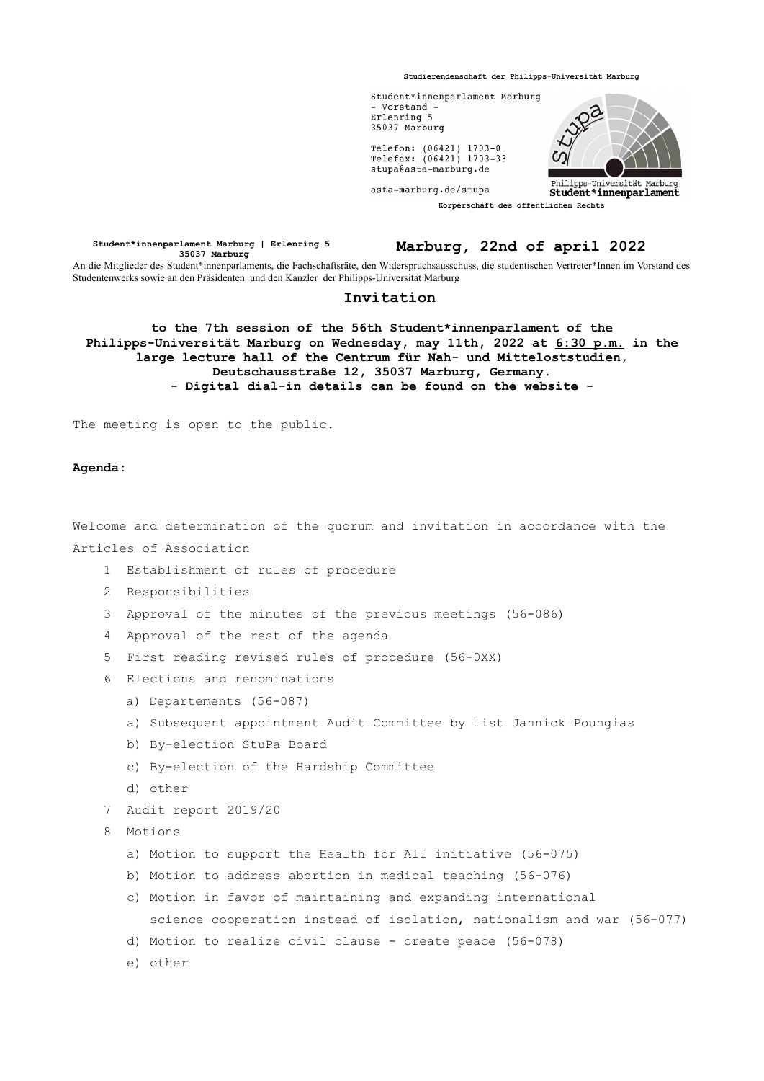**Studierendenschaft der Philipps-Universität Marburg**



**Student\*innenparlament Marburg | Erlenring 5 35037 Marburg Marburg, 22nd of april 2022** An die Mitglieder des Student\*innenparlaments, die Fachschaftsräte, den Widerspruchsausschuss, die studentischen Vertreter\*Innen im Vorstand des Studentenwerks sowie an den Präsidenten und den Kanzler der Philipps-Universität Marburg

## **Invitation**

**to the 7th session of the 56th Student\*innenparlament of the Philipps-Universität Marburg on Wednesday, may 11th, 2022 at 6:30 p.m. in the large lecture hall of the Centrum für Nah- und Mitteloststudien, Deutschausstraße 12, 35037 Marburg, Germany. - Digital dial-in details can be found on the website -**

The meeting is open to the public.

## **Agenda:**

Welcome and determination of the quorum and invitation in accordance with the Articles of Association

- 1 Establishment of rules of procedure
- 2 Responsibilities
- 3 Approval of the minutes of the previous meetings (56-086)
- 4 Approval of the rest of the agenda
- 5 First reading revised rules of procedure (56-0XX)
- 6 Elections and renominations
	- a) Departements (56-087)
	- a) Subsequent appointment Audit Committee by list Jannick Poungias
	- b) By-election StuPa Board
	- c) By-election of the Hardship Committee
	- d) other
- 7 Audit report 2019/20
- 8 Motions
	- a) Motion to support the Health for All initiative (56-075)
	- b) Motion to address abortion in medical teaching (56-076)
	- c) Motion in favor of maintaining and expanding international science cooperation instead of isolation, nationalism and war (56-077)
	- d) Motion to realize civil clause create peace (56-078)
	- e) other